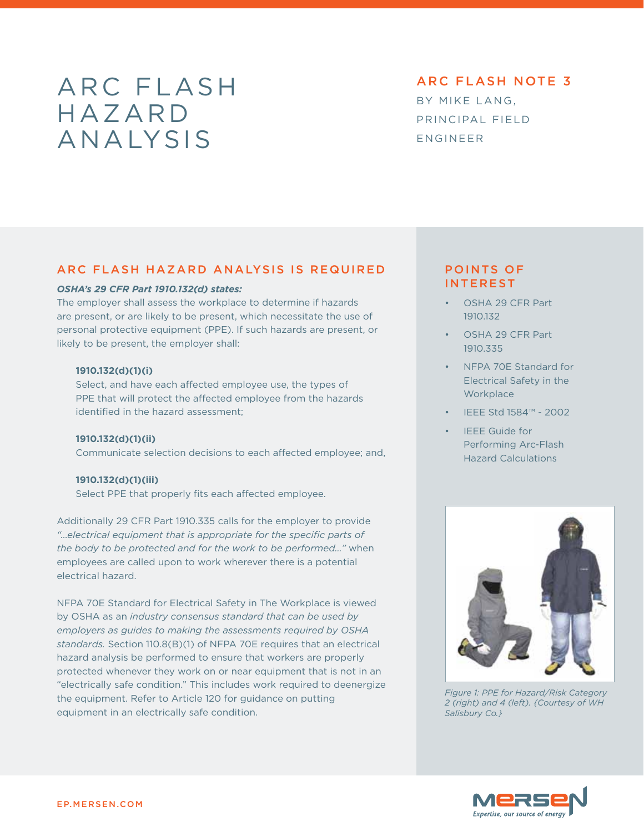# ARC FLASH hazard analysis

arc flash note 3

By mike lang, principal field engineer

## Arc Flash Hazard Analysis is Required

## *OSHA's 29 CFR Part 1910.132(d) states:*

The employer shall assess the workplace to determine if hazards are present, or are likely to be present, which necessitate the use of personal protective equipment (PPE). If such hazards are present, or likely to be present, the employer shall:

#### **1910.132(d)(1)(i)**

Select, and have each affected employee use, the types of PPE that will protect the affected employee from the hazards identified in the hazard assessment;

**1910.132(d)(1)(ii)** Communicate selection decisions to each affected employee; and,

**1910.132(d)(1)(iii)**

Select PPE that properly fits each affected employee.

Additionally 29 CFR Part 1910.335 calls for the employer to provide *"…electrical equipment that is appropriate for the specific parts of the body to be protected and for the work to be performed…"* when employees are called upon to work wherever there is a potential electrical hazard.

NFPA 70E Standard for Electrical Safety in The Workplace is viewed by OSHA as an *industry consensus standard that can be used by employers as guides to making the assessments required by OSHA standards.* Section 110.8(B)(1) of NFPA 70E requires that an electrical hazard analysis be performed to ensure that workers are properly protected whenever they work on or near equipment that is not in an "electrically safe condition." This includes work required to deenergize the equipment. Refer to Article 120 for guidance on putting equipment in an electrically safe condition.

# points of **INTEREST**

- OSHA 29 CFR Part 1910.132
- OSHA 29 CFR Part 1910.335
- NFPA 70F Standard for Electrical Safety in the **Workplace**
- • IEEE Std 1584™ 2002
- **IFFE Guide for** Performing Arc-Flash Hazard Calculations



*Figure 1: PPE for Hazard/Risk Category 2 (right) and 4 (left). {Courtesy of WH Salisbury Co.}*

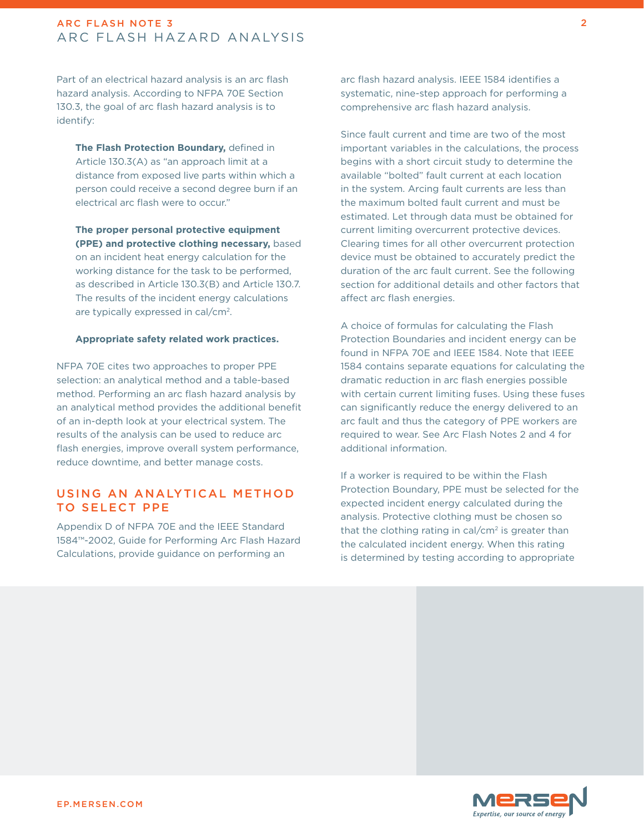Part of an electrical hazard analysis is an arc flash hazard analysis. According to NFPA 70E Section 130.3, the goal of arc flash hazard analysis is to identify:

**The Flash Protection Boundary,** defined in Article 130.3(A) as "an approach limit at a distance from exposed live parts within which a person could receive a second degree burn if an electrical arc flash were to occur."

**The proper personal protective equipment (PPE) and protective clothing necessary,** based on an incident heat energy calculation for the working distance for the task to be performed, as described in Article 130.3(B) and Article 130.7. The results of the incident energy calculations are typically expressed in cal/cm2.

#### **Appropriate safety related work practices.**

NFPA 70E cites two approaches to proper PPE selection: an analytical method and a table-based method. Performing an arc flash hazard analysis by an analytical method provides the additional benefit of an in-depth look at your electrical system. The results of the analysis can be used to reduce arc flash energies, improve overall system performance, reduce downtime, and better manage costs.

# Using an Analytical Method to Select PPE

Appendix D of NFPA 70E and the IEEE Standard 1584™-2002, Guide for Performing Arc Flash Hazard Calculations, provide guidance on performing an

arc flash hazard analysis. IEEE 1584 identifies a systematic, nine-step approach for performing a comprehensive arc flash hazard analysis.

Since fault current and time are two of the most important variables in the calculations, the process begins with a short circuit study to determine the available "bolted" fault current at each location in the system. Arcing fault currents are less than the maximum bolted fault current and must be estimated. Let through data must be obtained for current limiting overcurrent protective devices. Clearing times for all other overcurrent protection device must be obtained to accurately predict the duration of the arc fault current. See the following section for additional details and other factors that affect arc flash energies.

A choice of formulas for calculating the Flash Protection Boundaries and incident energy can be found in NFPA 70E and IEEE 1584. Note that IEEE 1584 contains separate equations for calculating the dramatic reduction in arc flash energies possible with certain current limiting fuses. Using these fuses can significantly reduce the energy delivered to an arc fault and thus the category of PPE workers are required to wear. See Arc Flash Notes 2 and 4 for additional information.

If a worker is required to be within the Flash Protection Boundary, PPE must be selected for the expected incident energy calculated during the analysis. Protective clothing must be chosen so that the clothing rating in cal/ $\rm cm^2$  is greater than the calculated incident energy. When this rating is determined by testing according to appropriate

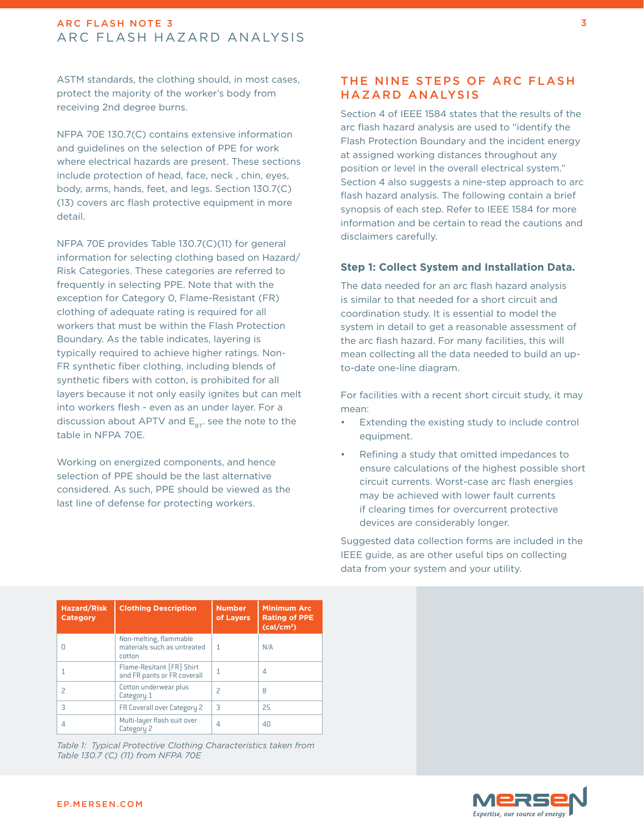ASTM standards, the clothing should, in most cases, protect the majority of the worker's body from receiving 2nd degree burns.

NFPA 70E 130.7(C) contains extensive information and guidelines on the selection of PPE for work where electrical hazards are present. These sections include protection of head, face, neck , chin, eyes, body, arms, hands, feet, and legs. Section 130.7(C) (13) covers arc flash protective equipment in more detail.

NFPA 70E provides Table 130.7(C)(11) for general information for selecting clothing based on Hazard/ Risk Categories. These categories are referred to frequently in selecting PPE. Note that with the exception for Category 0, Flame-Resistant (FR) clothing of adequate rating is required for all workers that must be within the Flash Protection Boundary. As the table indicates, layering is typically required to achieve higher ratings. Non-FR synthetic fiber clothing, including blends of synthetic fibers with cotton, is prohibited for all layers because it not only easily ignites but can melt into workers flesh - even as an under layer. For a discussion about APTV and  $E_{BT}$  see the note to the table in NFPA 70E.

Working on energized components, and hence selection of PPE should be the last alternative considered. As such, PPE should be viewed as the last line of defense for protecting workers.

## The Nine Steps of Arc Flash Hazard Analysis

Section 4 of IEEE 1584 states that the results of the arc flash hazard analysis are used to "identify the Flash Protection Boundary and the incident energy at assigned working distances throughout any position or level in the overall electrical system." Section 4 also suggests a nine-step approach to arc flash hazard analysis. The following contain a brief synopsis of each step. Refer to IEEE 1584 for more information and be certain to read the cautions and disclaimers carefully.

### **Step 1: Collect System and Installation Data.**

The data needed for an arc flash hazard analysis is similar to that needed for a short circuit and coordination study. It is essential to model the system in detail to get a reasonable assessment of the arc flash hazard. For many facilities, this will mean collecting all the data needed to build an upto-date one-line diagram.

For facilities with a recent short circuit study, it may mean:

- Extending the existing study to include control equipment.
- Refining a study that omitted impedances to ensure calculations of the highest possible short circuit currents. Worst-case arc flash energies may be achieved with lower fault currents if clearing times for overcurrent protective devices are considerably longer.

Suggested data collection forms are included in the IEEE guide, as are other useful tips on collecting data from your system and your utility.

| <b>Hazard/Risk</b><br><b>Category</b> | <b>Clothing Description</b>                                     | <b>Number</b><br>of Layers | <b>Minimum Arc</b><br><b>Rating of PPE</b><br>(cal/cm <sup>2</sup> ) |
|---------------------------------------|-----------------------------------------------------------------|----------------------------|----------------------------------------------------------------------|
|                                       | Non-melting, flammable<br>materials such as untreated<br>cotton |                            | N/A                                                                  |
|                                       | Flame-Resitant (FR) Shirt<br>and FR pants or FR coverall        |                            | 4                                                                    |
|                                       | Cotton underwear plus<br>Category 1                             | 2                          | 8                                                                    |
| 3                                     | FR Coverall over Category 2                                     | 3                          | 25                                                                   |
|                                       | Multi-layer flash suit over<br>Category 2                       | 4                          | 40                                                                   |

*Table 1: Typical Protective Clothing Characteristics taken from Table 130.7 (C) (11) from NFPA 70E*

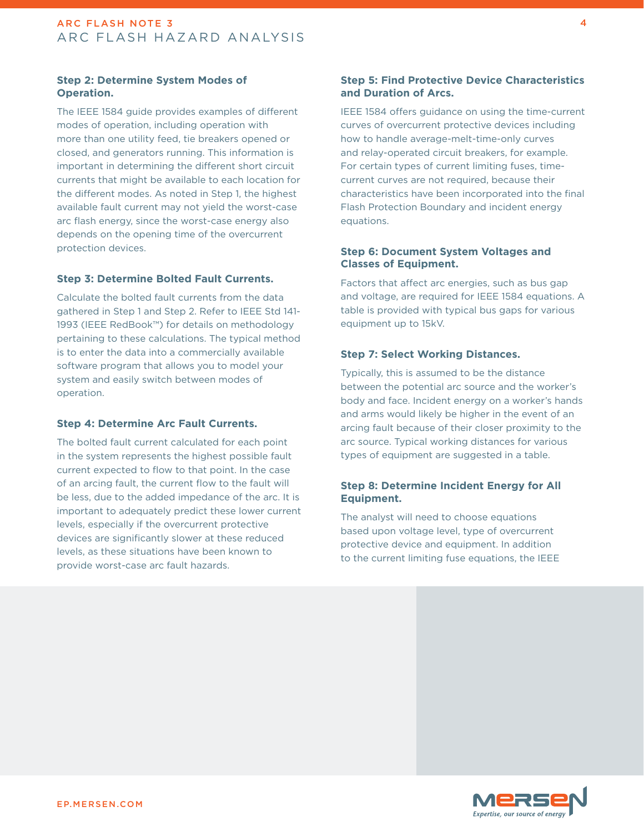## **Step 2: Determine System Modes of Operation.**

The IEEE 1584 guide provides examples of different modes of operation, including operation with more than one utility feed, tie breakers opened or closed, and generators running. This information is important in determining the different short circuit currents that might be available to each location for the different modes. As noted in Step 1, the highest available fault current may not yield the worst-case arc flash energy, since the worst-case energy also depends on the opening time of the overcurrent protection devices.

#### **Step 3: Determine Bolted Fault Currents.**

Calculate the bolted fault currents from the data gathered in Step 1 and Step 2. Refer to IEEE Std 141- 1993 (IEEE RedBook™) for details on methodology pertaining to these calculations. The typical method is to enter the data into a commercially available software program that allows you to model your system and easily switch between modes of operation.

#### **Step 4: Determine Arc Fault Currents.**

The bolted fault current calculated for each point in the system represents the highest possible fault current expected to flow to that point. In the case of an arcing fault, the current flow to the fault will be less, due to the added impedance of the arc. It is important to adequately predict these lower current levels, especially if the overcurrent protective devices are significantly slower at these reduced levels, as these situations have been known to provide worst-case arc fault hazards.

## **Step 5: Find Protective Device Characteristics and Duration of Arcs.**

IEEE 1584 offers guidance on using the time-current curves of overcurrent protective devices including how to handle average-melt-time-only curves and relay-operated circuit breakers, for example. For certain types of current limiting fuses, timecurrent curves are not required, because their characteristics have been incorporated into the final Flash Protection Boundary and incident energy equations.

#### **Step 6: Document System Voltages and Classes of Equipment.**

Factors that affect arc energies, such as bus gap and voltage, are required for IEEE 1584 equations. A table is provided with typical bus gaps for various equipment up to 15kV.

#### **Step 7: Select Working Distances.**

Typically, this is assumed to be the distance between the potential arc source and the worker's body and face. Incident energy on a worker's hands and arms would likely be higher in the event of an arcing fault because of their closer proximity to the arc source. Typical working distances for various types of equipment are suggested in a table.

## **Step 8: Determine Incident Energy for All Equipment.**

The analyst will need to choose equations based upon voltage level, type of overcurrent protective device and equipment. In addition to the current limiting fuse equations, the IEEE

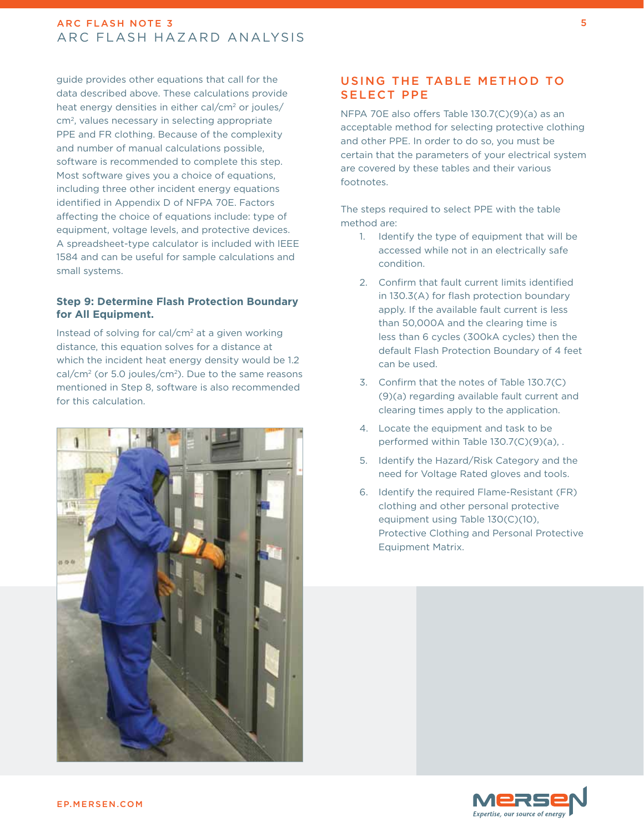guide provides other equations that call for the data described above. These calculations provide heat energy densities in either cal/cm<sup>2</sup> or joules/ cm2, values necessary in selecting appropriate PPE and FR clothing. Because of the complexity and number of manual calculations possible, software is recommended to complete this step. Most software gives you a choice of equations, including three other incident energy equations identified in Appendix D of NFPA 70E. Factors affecting the choice of equations include: type of equipment, voltage levels, and protective devices. A spreadsheet-type calculator is included with IEEE 1584 and can be useful for sample calculations and small systems.

## **Step 9: Determine Flash Protection Boundary for All Equipment.**

Instead of solving for cal/cm2 at a given working distance, this equation solves for a distance at which the incident heat energy density would be 1.2 cal/cm<sup>2</sup> (or 5.0 joules/cm<sup>2</sup>). Due to the same reasons mentioned in Step 8, software is also recommended for this calculation.



# Using the Table Method to Select PPE

NFPA 70E also offers Table 130.7(C)(9)(a) as an acceptable method for selecting protective clothing and other PPE. In order to do so, you must be certain that the parameters of your electrical system are covered by these tables and their various footnotes.

The steps required to select PPE with the table method are:

- 1. Identify the type of equipment that will be accessed while not in an electrically safe condition.
- 2. Confirm that fault current limits identified in 130.3(A) for flash protection boundary apply. If the available fault current is less than 50,000A and the clearing time is less than 6 cycles (300kA cycles) then the default Flash Protection Boundary of 4 feet can be used.
- 3. Confirm that the notes of Table 130.7(C) (9)(a) regarding available fault current and clearing times apply to the application.
- 4. Locate the equipment and task to be performed within Table 130.7(C)(9)(a), .
- 5. Identify the Hazard/Risk Category and the need for Voltage Rated gloves and tools.
- 6. Identify the required Flame-Resistant (FR) clothing and other personal protective equipment using Table 130(C)(10), Protective Clothing and Personal Protective Equipment Matrix.